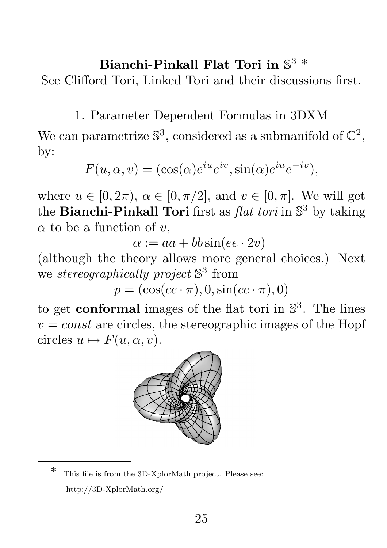## Bianchi-Pinkall Flat Tori in  $\mathbb{S}^3$  \*

See Clifford Tori, Linked Tori and their discussions first.

1. Parameter Dependent Formulas in 3DXM

We can parametrize  $\mathbb{S}^3$ , considered as a submanifold of  $\mathbb{C}^2$ , by:

$$
F(u, \alpha, v) = (\cos(\alpha)e^{iu}e^{iv}, \sin(\alpha)e^{iu}e^{-iv}),
$$

where  $u \in [0, 2\pi)$ ,  $\alpha \in [0, \pi/2]$ , and  $v \in [0, \pi]$ . We will get the **Bianchi-Pinkall Tori** first as  $flat\ tori$  in  $\mathbb{S}^3$  by taking  $\alpha$  to be a function of v,

 $\alpha := aa + bb \sin(ee \cdot 2v)$ 

(although the theory allows more general choices.) Next we *stereographically project* S<sup>3</sup> from

 $p = (\cos(cc \cdot \pi), 0, \sin(cc \cdot \pi), 0)$ 

to get **conformal** images of the flat tori in  $\mathbb{S}^3$ . The lines  $v = const$  are circles, the stereographic images of the Hopf circles  $u \mapsto F(u, \alpha, v)$ .



This file is from the 3D-XplorMath project. Please see: http://3D-XplorMath.org/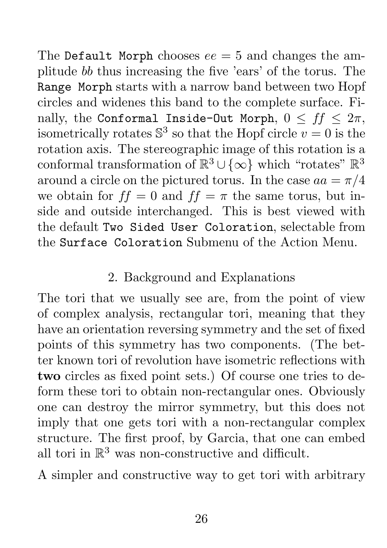The Default Morph chooses  $ee = 5$  and changes the amplitude bb thus increasing the five 'ears' of the torus. The Range Morph starts with a narrow band between two Hopf circles and widenes this band to the complete surface. Finally, the Conformal Inside-Out Morph,  $0 \leq ff \leq 2\pi$ , isometrically rotates  $\mathbb{S}^3$  so that the Hopf circle  $v = 0$  is the rotation axis. The stereographic image of this rotation is a conformal transformation of  $\mathbb{R}^3 \cup \{\infty\}$  which "rotates"  $\mathbb{R}^3$ around a circle on the pictured torus. In the case  $aa = \pi/4$ we obtain for  $ff = 0$  and  $ff = \pi$  the same torus, but inside and outside interchanged. This is best viewed with the default Two Sided User Coloration, selectable from the Surface Coloration Submenu of the Action Menu.

## 2. Background and Explanations

The tori that we usually see are, from the point of view of complex analysis, rectangular tori, meaning that they have an orientation reversing symmetry and the set of fixed points of this symmetry has two components. (The better known tori of revolution have isometric reflections with two circles as fixed point sets.) Of course one tries to deform these tori to obtain non-rectangular ones. Obviously one can destroy the mirror symmetry, but this does not imply that one gets tori with a non-rectangular complex structure. The first proof, by Garcia, that one can embed all tori in  $\mathbb{R}^3$  was non-constructive and difficult.

A simpler and constructive way to get tori with arbitrary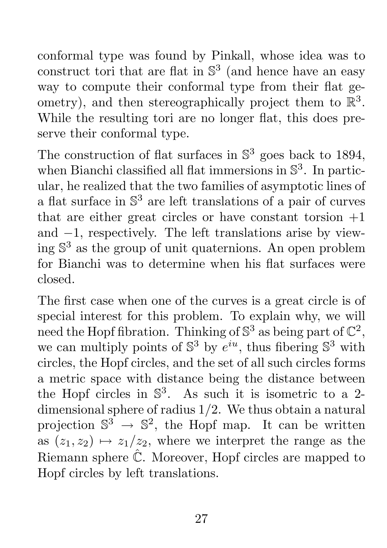conformal type was found by Pinkall, whose idea was to construct tori that are flat in  $\mathbb{S}^3$  (and hence have an easy way to compute their conformal type from their flat geometry), and then stereographically project them to  $\mathbb{R}^3$ . While the resulting tori are no longer flat, this does preserve their conformal type.

The construction of flat surfaces in  $\mathbb{S}^3$  goes back to 1894, when Bianchi classified all flat immersions in  $\mathbb{S}^3$ . In particular, he realized that the two families of asymptotic lines of a flat surface in  $\mathbb{S}^3$  are left translations of a pair of curves that are either great circles or have constant torsion  $+1$ and −1, respectively. The left translations arise by viewing  $\mathbb{S}^3$  as the group of unit quaternions. An open problem for Bianchi was to determine when his flat surfaces were closed.

The first case when one of the curves is a great circle is of special interest for this problem. To explain why, we will need the Hopf fibration. Thinking of  $\mathbb{S}^3$  as being part of  $\mathbb{C}^2,$ we can multiply points of  $\mathbb{S}^3$  by  $e^{iu}$ , thus fibering  $\mathbb{S}^3$  with circles, the Hopf circles, and the set of all such circles forms a metric space with distance being the distance between the Hopf circles in  $\mathbb{S}^3$ . As such it is isometric to a 2dimensional sphere of radius 1/2. We thus obtain a natural projection  $\mathbb{S}^3 \to \mathbb{S}^2$ , the Hopf map. It can be written as  $(z_1, z_2) \mapsto z_1/z_2$ , where we interpret the range as the Riemann sphere  $\hat{\mathbb{C}}$ . Moreover, Hopf circles are mapped to Hopf circles by left translations.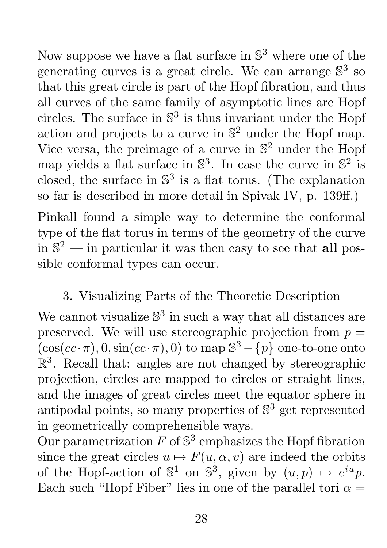Now suppose we have a flat surface in  $\mathbb{S}^3$  where one of the generating curves is a great circle. We can arrange  $\mathbb{S}^3$  so that this great circle is part of the Hopf fibration, and thus all curves of the same family of asymptotic lines are Hopf circles. The surface in  $\mathbb{S}^3$  is thus invariant under the Hopf action and projects to a curve in  $\mathbb{S}^2$  under the Hopf map. Vice versa, the preimage of a curve in  $\mathbb{S}^2$  under the Hopf map yields a flat surface in  $\mathbb{S}^3$ . In case the curve in  $\mathbb{S}^2$  is closed, the surface in  $\mathbb{S}^3$  is a flat torus. (The explanation so far is described in more detail in Spivak IV, p. 139ff.)

Pinkall found a simple way to determine the conformal type of the flat torus in terms of the geometry of the curve in  $\mathbb{S}^2$  — in particular it was then easy to see that all possible conformal types can occur.

## 3. Visualizing Parts of the Theoretic Description

We cannot visualize  $\mathbb{S}^3$  in such a way that all distances are preserved. We will use stereographic projection from  $p =$  $(\cos(c\cos\theta), 0, \sin(c\cos\theta), 0)$  to map  $\mathbb{S}^3 - \{p\}$  one-to-one onto  $\mathbb{R}^3$ . Recall that: angles are not changed by stereographic projection, circles are mapped to circles or straight lines, and the images of great circles meet the equator sphere in antipodal points, so many properties of  $\mathbb{S}^3$  get represented in geometrically comprehensible ways.

Our parametrization  $F$  of  $\mathbb{S}^3$  emphasizes the Hopf fibration since the great circles  $u \mapsto F(u, \alpha, v)$  are indeed the orbits of the Hopf-action of  $\mathbb{S}^1$  on  $\mathbb{S}^3$ , given by  $(u, p) \mapsto e^{iu}p$ . Each such "Hopf Fiber" lies in one of the parallel tori  $\alpha =$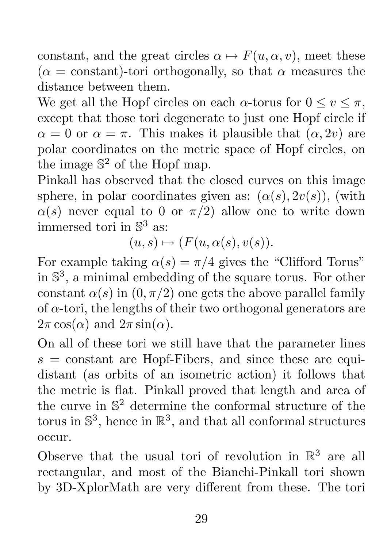constant, and the great circles  $\alpha \mapsto F(u, \alpha, v)$ , meet these  $(\alpha = constant)$ -tori orthogonally, so that  $\alpha$  measures the distance between them.

We get all the Hopf circles on each  $\alpha$ -torus for  $0 \le v \le \pi$ , except that those tori degenerate to just one Hopf circle if  $\alpha = 0$  or  $\alpha = \pi$ . This makes it plausible that  $(\alpha, 2v)$  are polar coordinates on the metric space of Hopf circles, on the image  $\mathbb{S}^2$  of the Hopf map.

Pinkall has observed that the closed curves on this image sphere, in polar coordinates given as:  $(\alpha(s), 2\upsilon(s))$ , (with  $\alpha(s)$  never equal to 0 or  $\pi/2$ ) allow one to write down immersed tori in  $\mathbb{S}^3$  as:

 $(u, s) \mapsto (F(u, \alpha(s), v(s)).$ 

For example taking  $\alpha(s) = \pi/4$  gives the "Clifford Torus" in  $\mathbb{S}^3$ , a minimal embedding of the square torus. For other constant  $\alpha(s)$  in  $(0, \pi/2)$  one gets the above parallel family of  $\alpha$ -tori, the lengths of their two orthogonal generators are  $2\pi \cos(\alpha)$  and  $2\pi \sin(\alpha)$ .

On all of these tori we still have that the parameter lines  $s = constant$  are Hopf-Fibers, and since these are equidistant (as orbits of an isometric action) it follows that the metric is flat. Pinkall proved that length and area of the curve in  $\mathbb{S}^2$  determine the conformal structure of the torus in  $\mathbb{S}^3$ , hence in  $\mathbb{R}^3$ , and that all conformal structures occur.

Observe that the usual tori of revolution in  $\mathbb{R}^3$  are all rectangular, and most of the Bianchi-Pinkall tori shown by 3D-XplorMath are very different from these. The tori